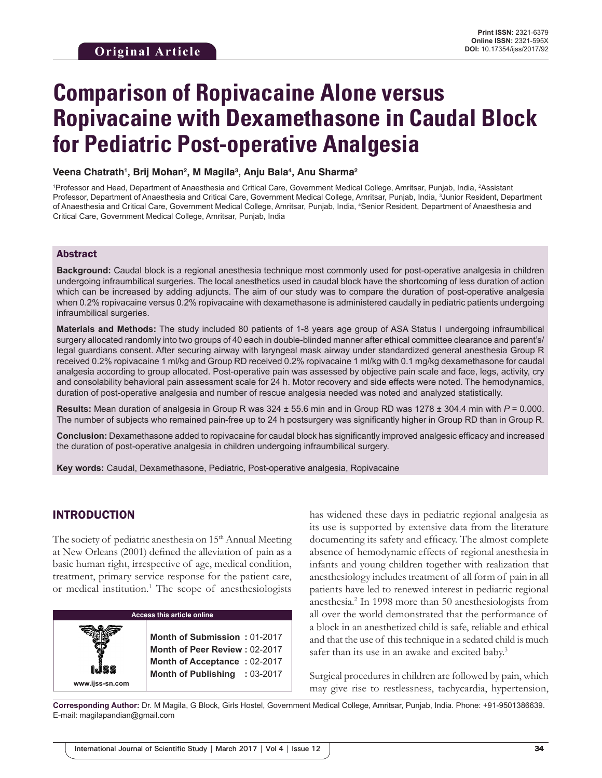# **Comparison of Ropivacaine Alone versus Ropivacaine with Dexamethasone in Caudal Block for Pediatric Post-operative Analgesia**

**Veena Chatrath1 , Brij Mohan2 , M Magila3 , Anju Bala4 , Anu Sharma2**

<sup>1</sup>Professor and Head, Department of Anaesthesia and Critical Care, Government Medical College, Amritsar, Punjab, India, <sup>2</sup>Assistant Professor, Department of Anaesthesia and Critical Care, Government Medical College, Amritsar, Punjab, India, <sup>3</sup>Junior Resident, Department of Anaesthesia and Critical Care, Government Medical College, Amritsar, Punjab, India, <sup>4</sup> Senior Resident, Department of Anaesthesia and Critical Care, Government Medical College, Amritsar, Punjab, India

#### Abstract

**Background:** Caudal block is a regional anesthesia technique most commonly used for post-operative analgesia in children undergoing infraumbilical surgeries. The local anesthetics used in caudal block have the shortcoming of less duration of action which can be increased by adding adjuncts. The aim of our study was to compare the duration of post-operative analgesia when 0.2% ropivacaine versus 0.2% ropivacaine with dexamethasone is administered caudally in pediatric patients undergoing infraumbilical surgeries.

**Materials and Methods:** The study included 80 patients of 1-8 years age group of ASA Status I undergoing infraumbilical surgery allocated randomly into two groups of 40 each in double-blinded manner after ethical committee clearance and parent's/ legal guardians consent. After securing airway with laryngeal mask airway under standardized general anesthesia Group R received 0.2% ropivacaine 1 ml/kg and Group RD received 0.2% ropivacaine 1 ml/kg with 0.1 mg/kg dexamethasone for caudal analgesia according to group allocated. Post-operative pain was assessed by objective pain scale and face, legs, activity, cry and consolability behavioral pain assessment scale for 24 h. Motor recovery and side effects were noted. The hemodynamics, duration of post-operative analgesia and number of rescue analgesia needed was noted and analyzed statistically.

**Results:** Mean duration of analgesia in Group R was  $324 \pm 55.6$  min and in Group RD was  $1278 \pm 304.4$  min with  $P = 0.000$ . The number of subjects who remained pain-free up to 24 h postsurgery was significantly higher in Group RD than in Group R.

**Conclusion:** Dexamethasone added to ropivacaine for caudal block has significantly improved analgesic efficacy and increased the duration of post-operative analgesia in children undergoing infraumbilical surgery.

**Key words:** Caudal, Dexamethasone, Pediatric, Post-operative analgesia, Ropivacaine

## INTRODUCTION

The society of pediatric anesthesia on 15<sup>th</sup> Annual Meeting at New Orleans (2001) defined the alleviation of pain as a basic human right, irrespective of age, medical condition, treatment, primary service response for the patient care, or medical institution.<sup>1</sup> The scope of anesthesiologists



has widened these days in pediatric regional analgesia as its use is supported by extensive data from the literature documenting its safety and efficacy. The almost complete absence of hemodynamic effects of regional anesthesia in infants and young children together with realization that anesthesiology includes treatment of all form of pain in all patients have led to renewed interest in pediatric regional anesthesia.<sup>2</sup> In 1998 more than 50 anesthesiologists from all over the world demonstrated that the performance of a block in an anesthetized child is safe, reliable and ethical and that the use of this technique in a sedated child is much safer than its use in an awake and excited baby.<sup>3</sup>

Surgical procedures in children are followed by pain, which may give rise to restlessness, tachycardia, hypertension,

**Corresponding Author:** Dr. M Magila, G Block, Girls Hostel, Government Medical College, Amritsar, Punjab, India. Phone: +91-9501386639. E-mail: magilapandian@gmail.com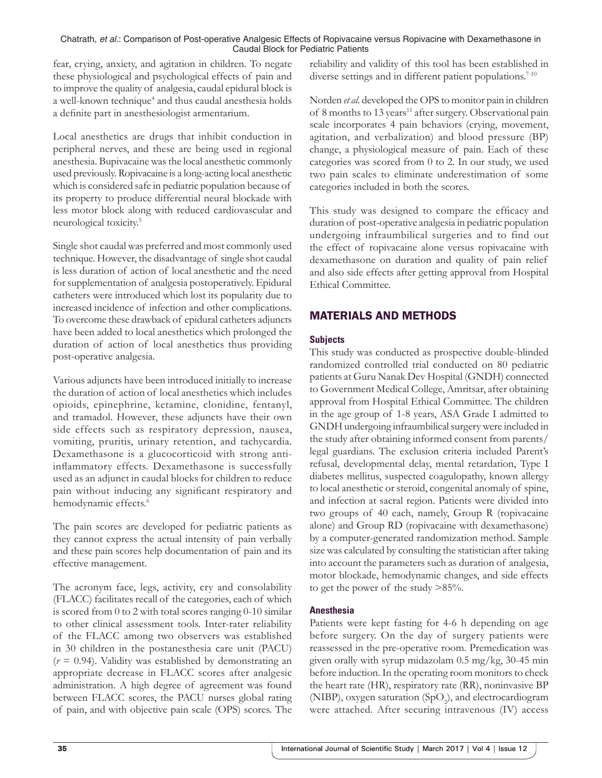fear, crying, anxiety, and agitation in children. To negate these physiological and psychological effects of pain and to improve the quality of analgesia, caudal epidural block is a well-known technique<sup>4</sup> and thus caudal anesthesia holds a definite part in anesthesiologist armentarium.

Local anesthetics are drugs that inhibit conduction in peripheral nerves, and these are being used in regional anesthesia. Bupivacaine was the local anesthetic commonly used previously. Ropivacaine is a long-acting local anesthetic which is considered safe in pediatric population because of its property to produce differential neural blockade with less motor block along with reduced cardiovascular and neurological toxicity.<sup>5</sup>

Single shot caudal was preferred and most commonly used technique. However, the disadvantage of single shot caudal is less duration of action of local anesthetic and the need for supplementation of analgesia postoperatively. Epidural catheters were introduced which lost its popularity due to increased incidence of infection and other complications. To overcome these drawback of epidural catheters adjuncts have been added to local anesthetics which prolonged the duration of action of local anesthetics thus providing post-operative analgesia.

Various adjuncts have been introduced initially to increase the duration of action of local anesthetics which includes opioids, epinephrine, ketamine, clonidine, fentanyl, and tramadol. However, these adjuncts have their own side effects such as respiratory depression, nausea, vomiting, pruritis, urinary retention, and tachycardia. Dexamethasone is a glucocorticoid with strong antiinflammatory effects. Dexamethasone is successfully used as an adjunct in caudal blocks for children to reduce pain without inducing any significant respiratory and hemodynamic effects.<sup>6</sup>

The pain scores are developed for pediatric patients as they cannot express the actual intensity of pain verbally and these pain scores help documentation of pain and its effective management.

The acronym face, legs, activity, cry and consolability (FLACC) facilitates recall of the categories, each of which is scored from 0 to 2 with total scores ranging 0-10 similar to other clinical assessment tools. Inter-rater reliability of the FLACC among two observers was established in 30 children in the postanesthesia care unit (PACU)  $(r = 0.94)$ . Validity was established by demonstrating an appropriate decrease in FLACC scores after analgesic administration. A high degree of agreement was found between FLACC scores, the PACU nurses global rating of pain, and with objective pain scale (OPS) scores. The

reliability and validity of this tool has been established in diverse settings and in different patient populations.<sup>7-10</sup>

Norden *et al*. developed the OPS to monitor pain in children of 8 months to 13 years<sup>11</sup> after surgery. Observational pain scale incorporates 4 pain behaviors (crying, movement, agitation, and verbalization) and blood pressure (BP) change, a physiological measure of pain. Each of these categories was scored from 0 to 2. In our study, we used two pain scales to eliminate underestimation of some categories included in both the scores.

This study was designed to compare the efficacy and duration of post-operative analgesia in pediatric population undergoing infraumbilical surgeries and to find out the effect of ropivacaine alone versus ropivacaine with dexamethasone on duration and quality of pain relief and also side effects after getting approval from Hospital Ethical Committee.

# MATERIALS AND METHODS

## **Subjects**

This study was conducted as prospective double-blinded randomized controlled trial conducted on 80 pediatric patients at Guru Nanak Dev Hospital (GNDH) connected to Government Medical College, Amritsar, after obtaining approval from Hospital Ethical Committee. The children in the age group of 1-8 years, ASA Grade I admitted to GNDH undergoing infraumbilical surgery were included in the study after obtaining informed consent from parents/ legal guardians. The exclusion criteria included Parent's refusal, developmental delay, mental retardation, Type I diabetes mellitus, suspected coagulopathy, known allergy to local anesthetic or steroid, congenital anomaly of spine, and infection at sacral region. Patients were divided into two groups of 40 each, namely, Group R (ropivacaine alone) and Group RD (ropivacaine with dexamethasone) by a computer-generated randomization method. Sample size was calculated by consulting the statistician after taking into account the parameters such as duration of analgesia, motor blockade, hemodynamic changes, and side effects to get the power of the study >85%.

## **Anesthesia**

Patients were kept fasting for 4-6 h depending on age before surgery. On the day of surgery patients were reassessed in the pre-operative room. Premedication was given orally with syrup midazolam 0.5 mg/kg, 30-45 min before induction. In the operating room monitors to check the heart rate (HR), respiratory rate (RR), noninvasive BP (NIBP), oxygen saturation (SpO<sub>2</sub>), and electrocardiogram were attached. After securing intravenous (IV) access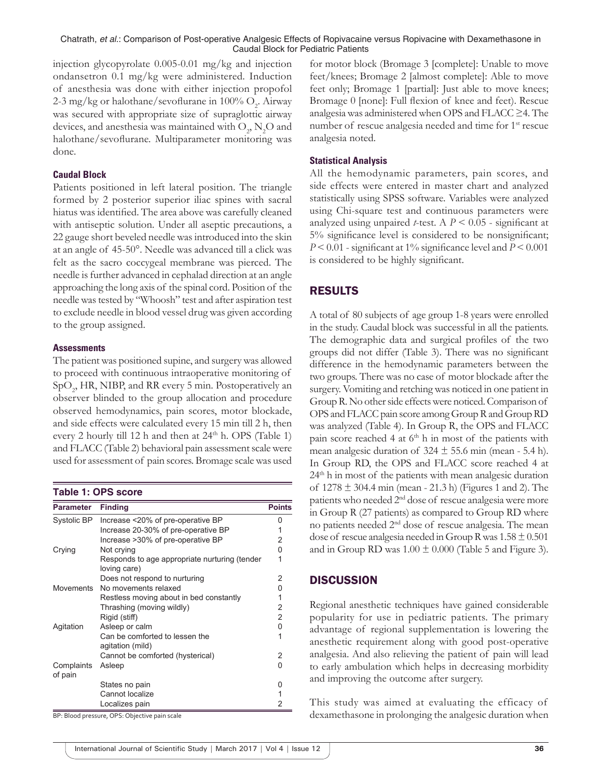injection glycopyrolate 0.005-0.01 mg/kg and injection ondansetron 0.1 mg/kg were administered. Induction of anesthesia was done with either injection propofol 2-3 mg/kg or halothane/sevoflurane in 100%  $\mathrm{O}_2.$  Airway was secured with appropriate size of supraglottic airway devices, and anesthesia was maintained with  $\mathrm{O}_2$ ,  $\mathrm{N}_2\mathrm{O}$  and halothane/sevoflurane. Multiparameter monitoring was done.

#### **Caudal Block**

Patients positioned in left lateral position. The triangle formed by 2 posterior superior iliac spines with sacral hiatus was identified. The area above was carefully cleaned with antiseptic solution. Under all aseptic precautions, a 22 gauge short beveled needle was introduced into the skin at an angle of 45-50°. Needle was advanced till a click was felt as the sacro coccygeal membrane was pierced. The needle is further advanced in cephalad direction at an angle approaching the long axis of the spinal cord. Position of the needle was tested by "Whoosh" test and after aspiration test to exclude needle in blood vessel drug was given according to the group assigned.

#### **Assessments**

The patient was positioned supine, and surgery was allowed to proceed with continuous intraoperative monitoring of SpO<sub>2</sub>, HR, NIBP, and RR every 5 min. Postoperatively an observer blinded to the group allocation and procedure observed hemodynamics, pain scores, motor blockade, and side effects were calculated every 15 min till 2 h, then every 2 hourly till 12 h and then at  $24<sup>th</sup>$  h. OPS (Table 1) and FLACC (Table 2) behavioral pain assessment scale were used for assessment of pain scores. Bromage scale was used

**Table 1: OPS score**

| <b>Parameter</b>      | <b>Finding</b>                                                | <b>Points</b> |  |
|-----------------------|---------------------------------------------------------------|---------------|--|
| Systolic BP           | Increase <20% of pre-operative BP                             |               |  |
|                       | Increase 20-30% of pre-operative BP                           |               |  |
|                       | Increase >30% of pre-operative BP                             | 2             |  |
| Crying                | Not crying                                                    | 0             |  |
|                       | Responds to age appropriate nurturing (tender<br>loving care) |               |  |
|                       | Does not respond to nurturing                                 | 2             |  |
| Movements             | No movements relaxed                                          | U             |  |
|                       | Restless moving about in bed constantly                       |               |  |
|                       | Thrashing (moving wildly)                                     | 2             |  |
|                       | Rigid (stiff)                                                 | 2             |  |
| Agitation             | Asleep or calm                                                | 0             |  |
|                       | Can be comforted to lessen the<br>agitation (mild)            |               |  |
|                       | Cannot be comforted (hysterical)                              | 2             |  |
| Complaints<br>of pain | Asleep                                                        | U             |  |
|                       | States no pain                                                |               |  |
|                       | Cannot localize                                               |               |  |
|                       | Localizes pain                                                | 2             |  |

BP: Blood pressure, OPS: Objective pain scale

for motor block (Bromage 3 [complete]: Unable to move feet/knees; Bromage 2 [almost complete]: Able to move feet only; Bromage 1 [partial]: Just able to move knees; Bromage 0 [none]: Full flexion of knee and feet). Rescue analgesia was administered when OPS and FLACC ≥4. The number of rescue analgesia needed and time for 1<sup>st</sup> rescue analgesia noted.

#### **Statistical Analysis**

All the hemodynamic parameters, pain scores, and side effects were entered in master chart and analyzed statistically using SPSS software. Variables were analyzed using Chi-square test and continuous parameters were analyzed using unpaired *t*-test. A  $P < 0.05$  - significant at 5% significance level is considered to be nonsignificant; *P* < 0.01 -significant at 1% significance level and *P* < 0.001 is considered to be highly significant.

## RESULTS

A total of 80 subjects of age group 1-8 years were enrolled in the study. Caudal block was successful in all the patients. The demographic data and surgical profiles of the two groups did not differ (Table 3). There was no significant difference in the hemodynamic parameters between the two groups. There was no case of motor blockade after the surgery. Vomiting and retching was noticed in one patient in GroupR. No other side effects were noticed. Comparison of OPS and FLACC pain score among Group R and Group RD was analyzed (Table 4). In Group R, the OPS and FLACC pain score reached 4 at  $6<sup>th</sup>$  h in most of the patients with mean analgesic duration of  $324 \pm 55.6$  min (mean - 5.4 h). In Group RD, the OPS and FLACC score reached 4 at 24<sup>th</sup> h in most of the patients with mean analgesic duration of  $1278 \pm 304.4$  min (mean - 21.3 h) (Figures 1 and 2). The patients who needed 2nd dose of rescue analgesia were more in Group R (27 patients) as compared to Group RD where no patients needed 2nd dose of rescue analgesia. The mean dose of rescue analgesia needed in Group R was  $1.58 \pm 0.501$ and in Group RD was  $1.00 \pm 0.000$  (Table 5 and Figure 3).

## **DISCUSSION**

Regional anesthetic techniques have gained considerable popularity for use in pediatric patients. The primary advantage of regional supplementation is lowering the anesthetic requirement along with good post-operative analgesia. And also relieving the patient of pain will lead to early ambulation which helps in decreasing morbidity and improving the outcome after surgery.

This study was aimed at evaluating the efficacy of dexamethasone in prolonging the analgesic duration when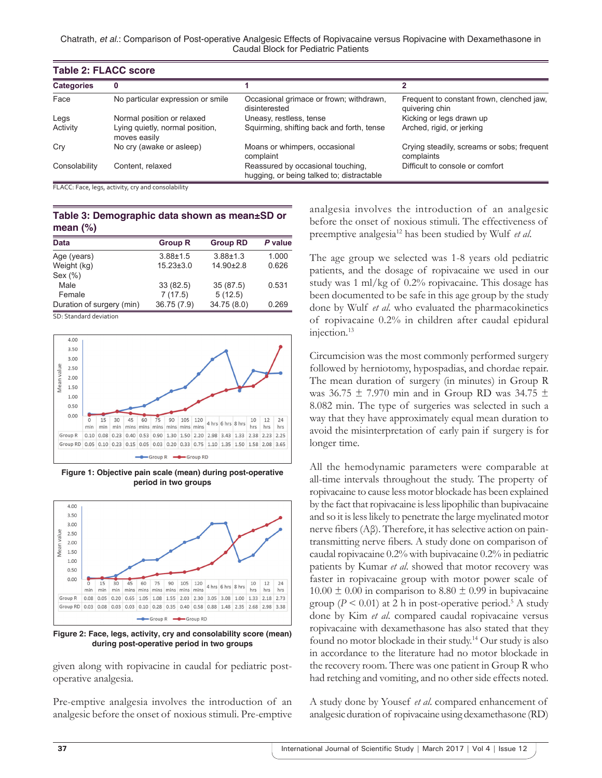Chatrath, *et al*.: Comparison of Post-operative Analgesic Effects of Ropivacaine versus Ropivacine with Dexamethasone in Caudal Block for Pediatric Patients

| <b>Table 2: FLACC score</b> |                                                 |                                                                                |                                                             |  |
|-----------------------------|-------------------------------------------------|--------------------------------------------------------------------------------|-------------------------------------------------------------|--|
| <b>Categories</b>           | 0                                               |                                                                                |                                                             |  |
| Face                        | No particular expression or smile               | Occasional grimace or frown; withdrawn,<br>disinterested                       | Frequent to constant frown, clenched jaw.<br>quivering chin |  |
| Legs                        | Normal position or relaxed                      | Uneasy, restless, tense                                                        | Kicking or legs drawn up                                    |  |
| Activity                    | Lying quietly, normal position,<br>moves easily | Squirming, shifting back and forth, tense                                      | Arched, rigid, or jerking                                   |  |
| Cry                         | No cry (awake or asleep)                        | Moans or whimpers, occasional<br>complaint                                     | Crying steadily, screams or sobs; frequent<br>complaints    |  |
| Consolability               | Content, relaxed                                | Reassured by occasional touching,<br>hugging, or being talked to; distractable | Difficult to console or comfort                             |  |

FLACC: Face, legs, activity, cry and consolability

## **Table 3: Demographic data shown as mean±SD or mean (%)**

| <b>Data</b>               | <b>Group R</b>  | <b>Group RD</b> | P value |
|---------------------------|-----------------|-----------------|---------|
| Age (years)               | $3.88 \pm 1.5$  | $3.88 + 1.3$    | 1.000   |
| Weight (kg)               | $15.23 \pm 3.0$ | $14.90 \pm 2.8$ | 0.626   |
| Sex (%)                   |                 |                 |         |
| Male                      | 33(82.5)        | 35(87.5)        | 0.531   |
| Female                    | 7(17.5)         | 5(12.5)         |         |
| Duration of surgery (min) | 36.75 (7.9)     | 34.75 (8.0)     | 0.269   |

SD: Standard deviation



**Figure 1: Objective pain scale (mean) during post-operative period in two groups**



**Figure 2: Face, legs, activity, cry and consolability score (mean) during post-operative period in two groups**

given along with ropivacine in caudal for pediatric postoperative analgesia.

Pre-emptive analgesia involves the introduction of an analgesic before the onset of noxious stimuli. Pre-emptive analgesia involves the introduction of an analgesic before the onset of noxious stimuli. The effectiveness of preemptive analgesia12 has been studied by Wulf *et al*.

The age group we selected was 1-8 years old pediatric patients, and the dosage of ropivacaine we used in our study was 1 ml/kg of 0.2% ropivacaine. This dosage has been documented to be safe in this age group by the study done by Wulf *et al*. who evaluated the pharmacokinetics of ropivacaine 0.2% in children after caudal epidural injection.<sup>13</sup>

Circumcision was the most commonly performed surgery followed by herniotomy, hypospadias, and chordae repair. The mean duration of surgery (in minutes) in Group R was 36.75  $\pm$  7.970 min and in Group RD was 34.75  $\pm$ 8.082 min. The type of surgeries was selected in such a way that they have approximately equal mean duration to avoid the misinterpretation of early pain if surgery is for longer time.

All the hemodynamic parameters were comparable at all-time intervals throughout the study. The property of ropivacaine to cause less motor blockade has been explained by the fact that ropivacaine is less lipophilic than bupivacaine and so it is less likely to penetrate the large myelinated motor nerve fibers (Aβ). Therefore, it has selective action on paintransmitting nerve fibers. A study done on comparison of caudal ropivacaine 0.2% with bupivacaine 0.2% in pediatric patients by Kumar *et al*. showed that motor recovery was faster in ropivacaine group with motor power scale of  $10.00 \pm 0.00$  in comparison to  $8.80 \pm 0.99$  in bupivacaine group ( $P < 0.01$ ) at 2 h in post-operative period.<sup>5</sup> A study done by Kim *et al*. compared caudal ropivacaine versus ropivacaine with dexamethasone has also stated that they found no motor blockade in their study.14 Our study is also in accordance to the literature had no motor blockade in the recovery room. There was one patient in Group R who had retching and vomiting, and no other side effects noted.

A study done by Yousef *et al*. compared enhancement of analgesic duration of ropivacaine using dexamethasone (RD)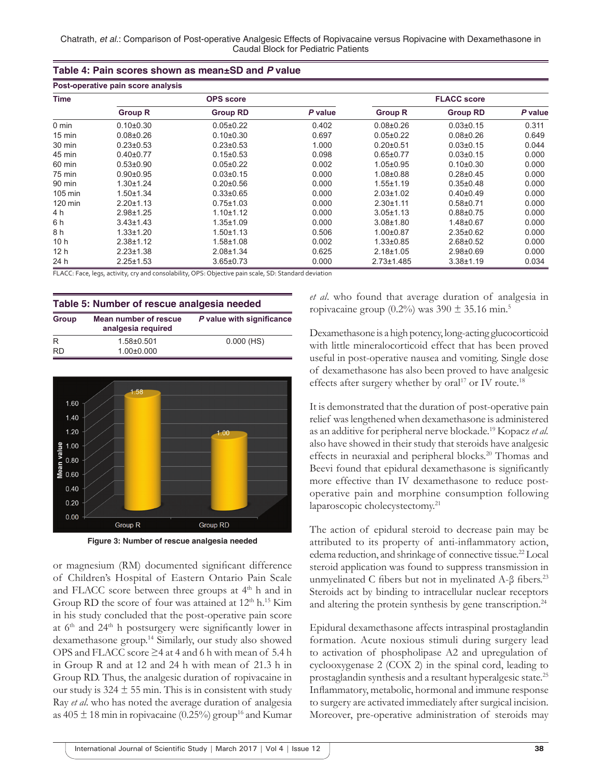| Post-operative pain score analysis |                  |                 |         |                    |                 |         |
|------------------------------------|------------------|-----------------|---------|--------------------|-----------------|---------|
| <b>Time</b>                        | <b>OPS</b> score |                 |         | <b>FLACC score</b> |                 |         |
|                                    | <b>Group R</b>   | <b>Group RD</b> | P value | <b>Group R</b>     | <b>Group RD</b> | P value |
| $0 \text{ min}$                    | $0.10 \pm 0.30$  | $0.05 \pm 0.22$ | 0.402   | $0.08 + 0.26$      | $0.03 + 0.15$   | 0.311   |
| $15 \text{ min}$                   | $0.08 + 0.26$    | $0.10 \pm 0.30$ | 0.697   | $0.05 \pm 0.22$    | $0.08 + 0.26$   | 0.649   |
| 30 min                             | $0.23 \pm 0.53$  | $0.23 \pm 0.53$ | 1.000   | $0.20 + 0.51$      | $0.03 + 0.15$   | 0.044   |
| 45 min                             | $0.40\pm0.77$    | $0.15 \pm 0.53$ | 0.098   | $0.65 \pm 0.77$    | $0.03 + 0.15$   | 0.000   |
| 60 min                             | $0.53 \pm 0.90$  | $0.05 \pm 0.22$ | 0.002   | $1.05 \pm 0.95$    | $0.10+0.30$     | 0.000   |
| 75 min                             | $0.90+0.95$      | $0.03 \pm 0.15$ | 0.000   | $1.08 + 0.88$      | $0.28 + 0.45$   | 0.000   |
| 90 min                             | $1.30 + 1.24$    | $0.20 \pm 0.56$ | 0.000   | $1.55 \pm 1.19$    | $0.35 \pm 0.48$ | 0.000   |
| $105 \text{ min}$                  | $1.50 + 1.34$    | $0.33 \pm 0.65$ | 0.000   | $2.03 \pm 1.02$    | $0.40 + 0.49$   | 0.000   |
| $120 \text{ min}$                  | $2.20 \pm 1.13$  | $0.75 \pm 1.03$ | 0.000   | $2.30 + 1.11$      | $0.58 + 0.71$   | 0.000   |
| 4 h                                | $2.98 + 1.25$    | $1.10 + 1.12$   | 0.000   | $3.05 \pm 1.13$    | $0.88 + 0.75$   | 0.000   |
| 6 h                                | $3.43 \pm 1.43$  | $1.35 \pm 1.09$ | 0.000   | $3.08 + 1.80$      | 1.48±0.67       | 0.000   |
| 8 h                                | $1.33 + 1.20$    | $1.50 + 1.13$   | 0.506   | $1.00+0.87$        | $2.35 \pm 0.62$ | 0.000   |
| 10 <sub>h</sub>                    | $2.38 + 1.12$    | $1.58 + 1.08$   | 0.002   | $1.33 \pm 0.85$    | $2.68 \pm 0.52$ | 0.000   |
| 12 h                               | $2.23 \pm 1.38$  | $2.08 + 1.34$   | 0.625   | $2.18 + 1.05$      | $2.98 + 0.69$   | 0.000   |
| 24 h                               | $2.25 \pm 1.53$  | $3.65 \pm 0.73$ | 0.000   | $2.73 \pm 1.485$   | $3.38 + 1.19$   | 0.034   |

**Table 4: Pain scores shown as mean±SD and** *P* **value**

FLACC: Face, legs, activity, cry and consolability, OPS: Objective pain scale, SD: Standard deviation

| Table 5: Number of rescue analgesia needed |                                             |                           |  |
|--------------------------------------------|---------------------------------------------|---------------------------|--|
| Group                                      | Mean number of rescue<br>analgesia required | P value with significance |  |
| R                                          | 1.58±0.501                                  | $0.000$ (HS)              |  |
| <b>RD</b>                                  | $1.00 \pm 0.000$                            |                           |  |





or magnesium (RM) documented significant difference of Children's Hospital of Eastern Ontario Pain Scale and FLACC score between three groups at  $4<sup>th</sup>$  h and in Group RD the score of four was attained at  $12<sup>th</sup> h.<sup>15</sup>$  Kim in his study concluded that the post-operative pain score at 6th and 24th h postsurgery were significantly lower in dexamethasone group.14 Similarly, our study also showed OPS and FLACC score ≥4 at 4 and 6 h with mean of 5.4 h in Group R and at 12 and 24 h with mean of 21.3 h in Group RD. Thus, the analgesic duration of ropivacaine in our study is  $324 \pm 55$  min. This is in consistent with study Ray *et al*. who has noted the average duration of analgesia as  $405 \pm 18$  min in ropivacaine (0.25%) group<sup>16</sup> and Kumar

*et al*. who found that average duration of analgesia in ropivacaine group  $(0.2\%)$  was  $390 \pm 35.16$  min.<sup>5</sup>

Dexamethasone is a high potency, long-acting glucocorticoid with little mineralocorticoid effect that has been proved useful in post-operative nausea and vomiting. Single dose of dexamethasone has also been proved to have analgesic effects after surgery whether by oral<sup>17</sup> or IV route.<sup>18</sup>

It is demonstrated that the duration of post-operative pain relief was lengthened when dexamethasone is administered as an additive for peripheral nerve blockade.19 Kopacz *et al.* also have showed in their study that steroids have analgesic effects in neuraxial and peripheral blocks.<sup>20</sup> Thomas and Beevi found that epidural dexamethasone is significantly more effective than IV dexamethasone to reduce postoperative pain and morphine consumption following laparoscopic cholecystectomy.<sup>21</sup>

The action of epidural steroid to decrease pain may be attributed to its property of anti-inflammatory action, edema reduction, and shrinkage of connective tissue.<sup>22</sup> Local steroid application was found to suppress transmission in unmyelinated C fibers but not in myelinated A-β fibers.<sup>23</sup> Steroids act by binding to intracellular nuclear receptors and altering the protein synthesis by gene transcription.<sup>24</sup>

Epidural dexamethasone affects intraspinal prostaglandin formation. Acute noxious stimuli during surgery lead to activation of phospholipase A2 and upregulation of cyclooxygenase 2 (COX 2) in the spinal cord, leading to prostaglandin synthesis and a resultant hyperalgesic state.<sup>25</sup> Inflammatory, metabolic, hormonal and immune response to surgery are activated immediately after surgical incision. Moreover, pre-operative administration of steroids may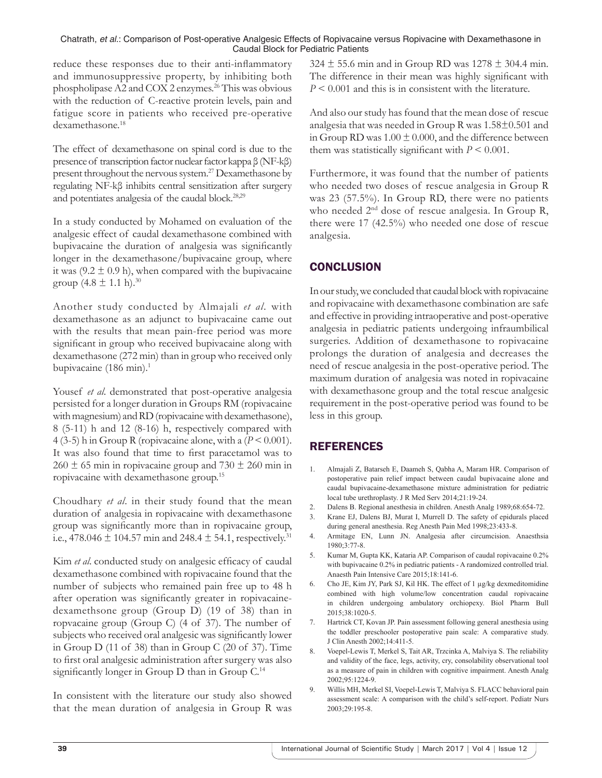reduce these responses due to their anti-inflammatory and immunosuppressive property, by inhibiting both phospholipase A2 and COX 2 enzymes.<sup>26</sup> This was obvious with the reduction of C-reactive protein levels, pain and fatigue score in patients who received pre-operative dexamethasone.<sup>18</sup>

The effect of dexamethasone on spinal cord is due to the presence of transcription factor nuclear factor kappa β (NF-kβ) present throughout the nervous system.<sup>27</sup> Dexamethasone by regulating NF-kβ inhibits central sensitization after surgery and potentiates analgesia of the caudal block.28,29

In a study conducted by Mohamed on evaluation of the analgesic effect of caudal dexamethasone combined with bupivacaine the duration of analgesia was significantly longer in the dexamethasone/bupivacaine group, where it was  $(9.2 \pm 0.9 \text{ h})$ , when compared with the bupivacaine group  $(4.8 \pm 1.1 \text{ h})$ .<sup>30</sup>

Another study conducted by Almajali *et al*. with dexamethasone as an adjunct to bupivacaine came out with the results that mean pain-free period was more significant in group who received bupivacaine along with dexamethasone (272 min) than in group who received only bupivacaine (186 min).<sup>1</sup>

Yousef *et al.* demonstrated that post-operative analgesia persisted for a longer duration in Groups RM (ropivacaine with magnesium) and RD (ropivacaine with dexamethasone), 8 (5-11) h and 12 (8-16) h, respectively compared with 4 (3-5) h in Group R (ropivacaine alone, with a (*P* < 0.001). It was also found that time to first paracetamol was to  $260 \pm 65$  min in ropivacaine group and  $730 \pm 260$  min in ropivacaine with dexamethasone group.<sup>15</sup>

Choudhary *et al*. in their study found that the mean duration of analgesia in ropivacaine with dexamethasone group was significantly more than in ropivacaine group, i.e., 478.046  $\pm$  104.57 min and 248.4  $\pm$  54.1, respectively.<sup>31</sup>

Kim *et al*. conducted study on analgesic efficacy of caudal dexamethasone combined with ropivacaine found that the number of subjects who remained pain free up to 48 h after operation was significantly greater in ropivacainedexamethsone group (Group D) (19 of 38) than in ropvacaine group (Group C) (4 of 37). The number of subjects who received oral analgesic was significantly lower in Group D (11 of 38) than in Group C (20 of 37). Time to first oral analgesic administration after surgery was also significantly longer in Group D than in Group C.<sup>14</sup>

In consistent with the literature our study also showed that the mean duration of analgesia in Group R was  $324 \pm 55.6$  min and in Group RD was  $1278 \pm 304.4$  min. The difference in their mean was highly significant with *P* < 0.001 and this is in consistent with the literature.

And also our study has found that the mean dose of rescue analgesia that was needed in Group R was 1.58±0.501 and in Group RD was  $1.00 \pm 0.000$ , and the difference between them was statistically significant with  $P \leq 0.001$ .

Furthermore, it was found that the number of patients who needed two doses of rescue analgesia in Group R was 23 (57.5%). In Group RD, there were no patients who needed 2<sup>nd</sup> dose of rescue analgesia. In Group R, there were 17 (42.5%) who needed one dose of rescue analgesia.

# **CONCLUSION**

In our study, we concluded that caudal block with ropivacaine and ropivacaine with dexamethasone combination are safe and effective in providing intraoperative and post-operative analgesia in pediatric patients undergoing infraumbilical surgeries. Addition of dexamethasone to ropivacaine prolongs the duration of analgesia and decreases the need of rescue analgesia in the post-operative period. The maximum duration of analgesia was noted in ropivacaine with dexamethasone group and the total rescue analgesic requirement in the post-operative period was found to be less in this group.

# REFERENCES

- 1. Almajali Z, Batarseh E, Daameh S, Qabha A, Maram HR. Comparison of postoperative pain relief impact between caudal bupivacaine alone and caudal bupivacaine-dexamethasone mixture administration for pediatric local tube urethroplasty. J R Med Serv 2014;21:19-24.
- 2. Dalens B. Regional anesthesia in children. Anesth Analg 1989;68:654-72.
- 3. Krane EJ, Dalens BJ, Murat I, Murrell D. The safety of epidurals placed during general anesthesia. Reg Anesth Pain Med 1998;23:433-8.
- 4. Armitage EN, Lunn JN. Analgesia after circumcision. Anaesthsia 1980;3:77-8.
- 5. Kumar M, Gupta KK, Kataria AP. Comparison of caudal ropivacaine 0.2% with bupivacaine 0.2% in pediatric patients - A randomized controlled trial. Anaesth Pain Intensive Care 2015;18:141-6.
- 6. Cho JE, Kim JY, Park SJ, Kil HK. The effect of 1 µg/kg dexmeditomidine combined with high volume/low concentration caudal ropivacaine in children undergoing ambulatory orchiopexy. Biol Pharm Bull 2015;38:1020-5.
- 7. Hartrick CT, Kovan JP. Pain assessment following general anesthesia using the toddler preschooler postoperative pain scale: A comparative study. J Clin Anesth 2002;14:411-5.
- 8. Voepel-Lewis T, Merkel S, Tait AR, Trzcinka A, Malviya S. The reliability and validity of the face, legs, activity, cry, consolability observational tool as a measure of pain in children with cognitive impairment. Anesth Analg 2002;95:1224-9.
- 9. Willis MH, Merkel SI, Voepel-Lewis T, Malviya S. FLACC behavioral pain assessment scale: A comparison with the child's self-report. Pediatr Nurs 2003;29:195-8.